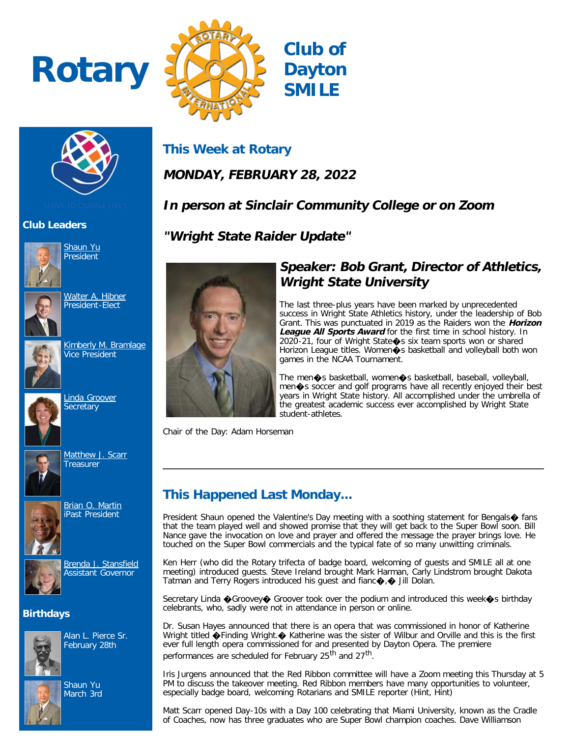# **Rotary**





# **Club Leaders**



[Shaun Yu](https://www.ismyrotaryclub.org/EMailer.cfm?ID=800402048) President

[Walter A. Hibner](https://www.ismyrotaryclub.org/EMailer.cfm?ID=800252866) President-Elect



[Kimberly M. Bramlage](https://www.ismyrotaryclub.org/EMailer.cfm?ID=800408947) Vice President



[Linda Groover](https://www.ismyrotaryclub.org/EMailer.cfm?ID=800280496) **Secretary** 



[Matthew J. Scarr](https://www.ismyrotaryclub.org/EMailer.cfm?ID=800254050) **Treasurer** 



**[Brian O. Martin](https://www.ismyrotaryclub.org/EMailer.cfm?ID=800363590)** iPast President



[Brenda J. Stansfield](https://www.ismyrotaryclub.org/EMailer.cfm?ID=800254266) Assistant Governor

## **Birthdays**



Alan L. Pierce Sr. February 28th



Shaun Yu March 3rd

# **This Week at Rotary**

**MONDAY, FEBRUARY 28, 2022**

# **In person at Sinclair Community College or on Zoom**

**"Wright State Raider Update"**



## **Speaker: Bob Grant, Director of Athletics, Wright State University**

The last three-plus years have been marked by unprecedented success in Wright State Athletics history, under the leadership of Bob Grant. This was punctuated in 2019 as the Raiders won the **Horizon** League All Sports Award for the first time in school history. In 2020-21, four of Wright State�s six team sports won or shared Horizon League titles. Women $\bullet$ s basketball and volleyball both won games in the NCAA Tournament.

The men�s basketball, women�s basketball, baseball, volleyball, men�s soccer and golf programs have all recently enjoyed their best years in Wright State history. All accomplished under the umbrella of the greatest academic success ever accomplished by Wright State student-athletes.

Chair of the Day: Adam Horseman

# **This Happened Last Monday...**

President Shaun opened the Valentine's Day meeting with a soothing statement for Bengals $\diamondsuit$  fans that the team played well and showed promise that they will get back to the Super Bowl soon. Bill Nance gave the invocation on love and prayer and offered the message the prayer brings love. He touched on the Super Bowl commercials and the typical fate of so many unwitting criminals.

Ken Herr (who did the Rotary trifecta of badge board, welcoming of guests and SMILE all at one meeting) introduced guests. Steve Ireland brought Mark Harman, Carly Lindstrom brought Dakota Tatman and Terry Rogers introduced his quest and fianc $\bigcirc$ ,  $\bigcirc$  Jill Dolan.

Secretary Linda �Groovey� Groover took over the podium and introduced this week�s birthday celebrants, who, sadly were not in attendance in person or online.

Dr. Susan Hayes announced that there is an opera that was commissioned in honor of Katherine Wright titled  $\bigcirc$ Finding Wright. $\bigcirc$  Katherine was the sister of Wilbur and Orville and this is the first ever full length opera commissioned for and presented by Dayton Opera. The premiere performances are scheduled for February 25<sup>th</sup> and 27<sup>th</sup>.

Iris Jurgens announced that the Red Ribbon committee will have a Zoom meeting this Thursday at 5 PM to discuss the takeover meeting. Red Ribbon members have many opportunities to volunteer, especially badge board, welcoming Rotarians and SMILE reporter (Hint, Hint)

Matt Scarr opened Day-10s with a Day 100 celebrating that Miami University, known as the Cradle of Coaches, now has three graduates who are Super Bowl champion coaches. Dave Williamson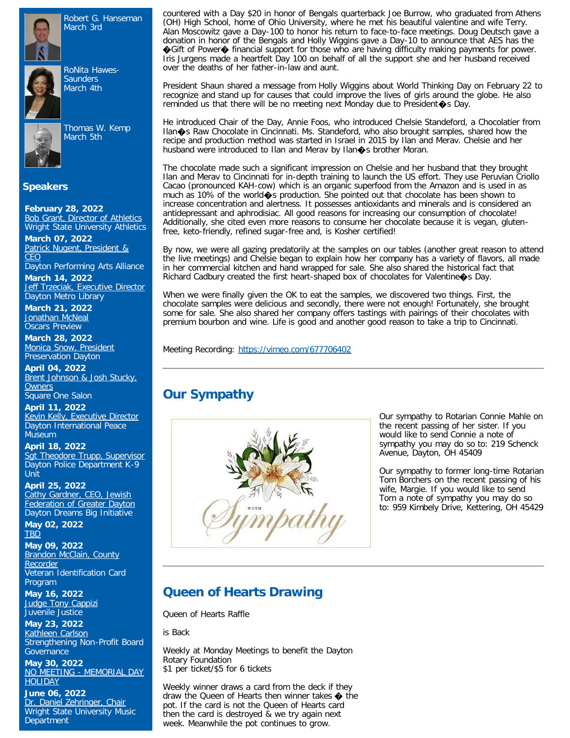

Robert G. Hanseman March 3rd



RoNita Hawes-**Saunders** March 4th



Thomas W. Kemp

March 5th

#### **Speakers**

**February 28, 2022** [Bob Grant, Director of Athletics](https://ismyrotaryclub.com/wp_api_prod_1-1/R_Event.cfm?fixTables=0&fixImages=0&EventID=77572485) Wright State University Athletics

**March 07, 2022** [Patrick Nugent, President &](https://ismyrotaryclub.com/wp_api_prod_1-1/R_Event.cfm?fixTables=0&fixImages=0&EventID=77575009) **[CEO](https://ismyrotaryclub.com/wp_api_prod_1-1/R_Event.cfm?fixTables=0&fixImages=0&EventID=77575009)** 

Dayton Performing Arts Alliance

**March 14, 2022** [Jeff Trzeciak, Executive Director](https://ismyrotaryclub.com/wp_api_prod_1-1/R_Event.cfm?fixTables=0&fixImages=0&EventID=77579964) Dayton Metro Library

**March 21, 2022** [Jonathan McNeal](https://ismyrotaryclub.com/wp_api_prod_1-1/R_Event.cfm?fixTables=0&fixImages=0&EventID=77572504) **Oscars Preview** 

**March 28, 2022** [Monica Snow, President](https://ismyrotaryclub.com/wp_api_prod_1-1/R_Event.cfm?fixTables=0&fixImages=0&EventID=77579965) Preservation Dayton

**April 04, 2022** [Brent Johnson & Josh Stucky,](https://ismyrotaryclub.com/wp_api_prod_1-1/R_Event.cfm?fixTables=0&fixImages=0&EventID=77579966) **[Owners](https://ismyrotaryclub.com/wp_api_prod_1-1/R_Event.cfm?fixTables=0&fixImages=0&EventID=77579966)** Square One Salon

**April 11, 2022** [Kevin Kelly, Executive Director](https://ismyrotaryclub.com/wp_api_prod_1-1/R_Event.cfm?fixTables=0&fixImages=0&EventID=77575888) Dayton International Peace **Museum** 

**April 18, 2022** [Sgt Theodore Trupp, Supervisor](https://ismyrotaryclub.com/wp_api_prod_1-1/R_Event.cfm?fixTables=0&fixImages=0&EventID=77579969) Dayton Police Department K-9 Unit

**April 25, 2022** [Cathy Gardner, CEO, Jewish](https://ismyrotaryclub.com/wp_api_prod_1-1/R_Event.cfm?fixTables=0&fixImages=0&EventID=77579971) [Federation of Greater Dayton](https://ismyrotaryclub.com/wp_api_prod_1-1/R_Event.cfm?fixTables=0&fixImages=0&EventID=77579971) Dayton Dreams Big Initiative

**May 02, 2022 [TBD](https://ismyrotaryclub.com/wp_api_prod_1-1/R_Event.cfm?fixTables=0&fixImages=0&EventID=77579975)** 

**May 09, 2022 [Brandon McClain, County](https://ismyrotaryclub.com/wp_api_prod_1-1/R_Event.cfm?fixTables=0&fixImages=0&EventID=77579974)** [Recorder](https://ismyrotaryclub.com/wp_api_prod_1-1/R_Event.cfm?fixTables=0&fixImages=0&EventID=77579974) Veteran Identification Card Program

**May 16, 2022** [Judge Tony Cappizi](https://ismyrotaryclub.com/wp_api_prod_1-1/R_Event.cfm?fixTables=0&fixImages=0&EventID=77579976) Juvenile Justice

**May 23, 2022** [Kathleen Carlson](https://ismyrotaryclub.com/wp_api_prod_1-1/R_Event.cfm?fixTables=0&fixImages=0&EventID=77579977) Strengthening Non-Profit Board **Governance** 

**May 30, 2022** [NO MEETING - MEMORIAL DAY](https://ismyrotaryclub.com/wp_api_prod_1-1/R_Event.cfm?fixTables=0&fixImages=0&EventID=77579978) **[HOLIDAY](https://ismyrotaryclub.com/wp_api_prod_1-1/R_Event.cfm?fixTables=0&fixImages=0&EventID=77579978)** 

**June 06, 2022** [Dr. Daniel Zehringer, Chair](https://ismyrotaryclub.com/wp_api_prod_1-1/R_Event.cfm?fixTables=0&fixImages=0&EventID=77579979) Wright State University Music **Department** 

countered with a Day \$20 in honor of Bengals quarterback Joe Burrow, who graduated from Athens (OH) High School, home of Ohio University, where he met his beautiful valentine and wife Terry. Alan Moscowitz gave a Day-100 to honor his return to face-to-face meetings. Doug Deutsch gave a donation in honor of the Bengals and Holly Wiggins gave a Day-10 to announce that AES has the ◆Gift of Power◆ financial support for those who are having difficulty making payments for power. Iris Jurgens made a heartfelt Day 100 on behalf of all the support she and her husband received over the deaths of her father-in-law and aunt.

President Shaun shared a message from Holly Wiggins about World Thinking Day on February 22 to recognize and stand up for causes that could improve the lives of girls around the globe. He also reminded us that there will be no meeting next Monday due to President  $\bullet$ s Day.

He introduced Chair of the Day, Annie Foos, who introduced Chelsie Standeford, a Chocolatier from Ilan�s Raw Chocolate in Cincinnati. Ms. Standeford, who also brought samples, shared how the recipe and production method was started in Israel in 2015 by Ilan and Merav. Chelsie and her husband were introduced to Ilan and Merav by Ilan  $\diamondsuit$ s brother Moran.

The chocolate made such a significant impression on Chelsie and her husband that they brought Ilan and Merav to Cincinnati for in-depth training to launch the US effort. They use Peruvian Criollo Cacao (pronounced KAH-cow) which is an organic superfood from the Amazon and is used in as much as 10% of the world�s production. She pointed out that chocolate has been shown to increase concentration and alertness. It possesses antioxidants and minerals and is considered an antidepressant and aphrodisiac. All good reasons for increasing our consumption of chocolate! Additionally, she cited even more reasons to consume her chocolate because it is vegan, glutenfree, keto-friendly, refined sugar-free and, is Kosher certified!

By now, we were all gazing predatorily at the samples on our tables (another great reason to attend the live meetings) and Chelsie began to explain how her company has a variety of flavors, all made in her commercial kitchen and hand wrapped for sale. She also shared the historical fact that Richard Cadbury created the first heart-shaped box of chocolates for Valentine�s Day.

When we were finally given the OK to eat the samples, we discovered two things. First, the chocolate samples were delicious and secondly, there were not enough! Fortunately, she brought some for sale. She also shared her company offers tastings with pairings of their chocolates with premium bourbon and wine. Life is good and another good reason to take a trip to Cincinnati.

Meeting Recording: <https://vimeo.com/677706402>

# **Our Sympathy**



Our sympathy to Rotarian Connie Mahle on the recent passing of her sister. If you would like to send Connie a note of sympathy you may do so to: 219 Schenck Avenue, Dayton, OH 45409

Our sympathy to former long-time Rotarian Tom Borchers on the recent passing of his wife, Margie. If you would like to send Tom a note of sympathy you may do so to: 959 Kimbely Drive, Kettering, OH 45429

## **Queen of Hearts Drawing**

Queen of Hearts Raffle

is Back

Weekly at Monday Meetings to benefit the Dayton Rotary Foundation \$1 per ticket/\$5 for 6 tickets

Weekly winner draws a card from the deck if they draw the Queen of Hearts then winner takes  $\spadesuit$  the pot. If the card is not the Queen of Hearts card then the card is destroyed & we try again next week. Meanwhile the pot continues to grow.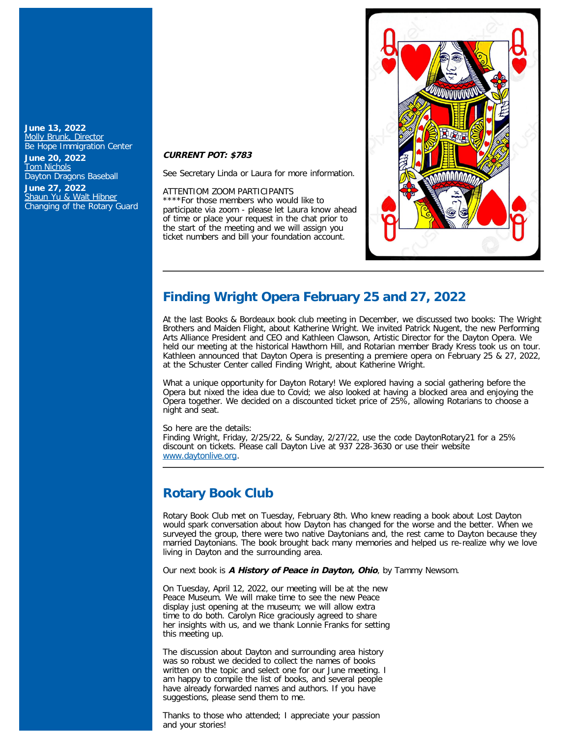#### **June 13, 2022** [Molly Brunk, Director](https://ismyrotaryclub.com/wp_api_prod_1-1/R_Event.cfm?fixTables=0&fixImages=0&EventID=77579980) Be Hope Immigration Center

**June 20, 2022** [Tom Nichols](https://ismyrotaryclub.com/wp_api_prod_1-1/R_Event.cfm?fixTables=0&fixImages=0&EventID=77579981) Dayton Dragons Baseball

**June 27, 2022** [Shaun Yu & Walt Hibner](https://ismyrotaryclub.com/wp_api_prod_1-1/R_Event.cfm?fixTables=0&fixImages=0&EventID=77579982) Changing of the Rotary Guard

#### **CURRENT POT: \$783**

See Secretary Linda or Laura for more information.

#### ATTENTIOM ZOOM PARTICIPANTS

\*For those members who would like to participate via zoom - please let Laura know ahead of time or place your request in the chat prior to the start of the meeting and we will assign you ticket numbers and bill your foundation account.



### **Finding Wright Opera February 25 and 27, 2022**

At the last Books & Bordeaux book club meeting in December, we discussed two books: The Wright Brothers and Maiden Flight, about Katherine Wright. We invited Patrick Nugent, the new Performing Arts Alliance President and CEO and Kathleen Clawson, Artistic Director for the Dayton Opera. We held our meeting at the historical Hawthorn Hill, and Rotarian member Brady Kress took us on tour. Kathleen announced that Dayton Opera is presenting a premiere opera on February 25 & 27, 2022, at the Schuster Center called Finding Wright, about Katherine Wright.

What a unique opportunity for Dayton Rotary! We explored having a social gathering before the Opera but nixed the idea due to Covid; we also looked at having a blocked area and enjoying the Opera together. We decided on a discounted ticket price of 25%, allowing Rotarians to choose a night and seat.

So here are the details:

Finding Wright, Friday, 2/25/22, & Sunday, 2/27/22, use the code DaytonRotary21 for a 25% discount on tickets. Please call Dayton Live at 937 228-3630 or use their website [www.daytonlive.org.](http://www.daytonlive.org/)

## **Rotary Book Club**

Rotary Book Club met on Tuesday, February 8th. Who knew reading a book about Lost Dayton would spark conversation about how Dayton has changed for the worse and the better. When we surveyed the group, there were two native Daytonians and, the rest came to Dayton because they married Daytonians. The book brought back many memories and helped us re-realize why we love living in Dayton and the surrounding area.

Our next book is **A History of Peace in Dayton, Ohio**, by Tammy Newsom.

On Tuesday, April 12, 2022, our meeting will be at the new Peace Museum. We will make time to see the new Peace display just opening at the museum; we will allow extra time to do both. Carolyn Rice graciously agreed to share her insights with us, and we thank Lonnie Franks for setting this meeting up.

The discussion about Dayton and surrounding area history was so robust we decided to collect the names of books written on the topic and select one for our June meeting. I am happy to compile the list of books, and several people have already forwarded names and authors. If you have suggestions, please send them to me.

Thanks to those who attended; I appreciate your passion and your stories!